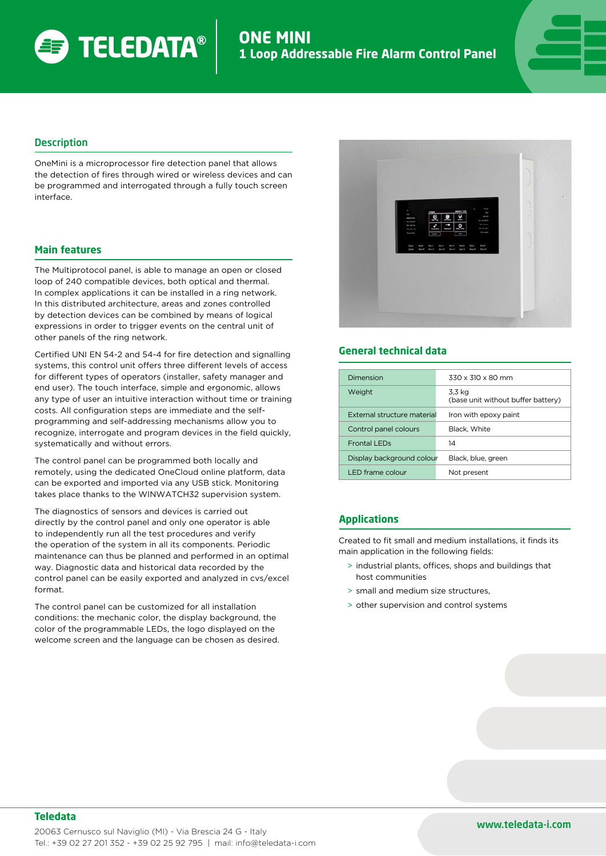

#### **Description**

OneMini is a microprocessor fire detection panel that allows the detection of fires through wired or wireless devices and can be programmed and interrogated through a fully touch screen interface.

#### **Main features**

The Multiprotocol panel, is able to manage an open or closed loop of 240 compatible devices, both optical and thermal. In complex applications it can be installed in a ring network. In this distributed architecture, areas and zones controlled by detection devices can be combined by means of logical expressions in order to trigger events on the central unit of other panels of the ring network.

Certified UNI EN 54-2 and 54-4 for fire detection and signalling systems, this control unit offers three different levels of access for different types of operators (installer, safety manager and end user). The touch interface, simple and ergonomic, allows any type of user an intuitive interaction without time or training costs. All configuration steps are immediate and the selfprogramming and self-addressing mechanisms allow you to recognize, interrogate and program devices in the field quickly, systematically and without errors.

The control panel can be programmed both locally and remotely, using the dedicated OneCloud online platform, data can be exported and imported via any USB stick. Monitoring takes place thanks to the WINWATCH32 supervision system.

The diagnostics of sensors and devices is carried out directly by the control panel and only one operator is able to independently run all the test procedures and verify the operation of the system in all its components. Periodic maintenance can thus be planned and performed in an optimal way. Diagnostic data and historical data recorded by the control panel can be easily exported and analyzed in cvs/excel format.

The control panel can be customized for all installation conditions: the mechanic color, the display background, the color of the programmable LEDs, the logo displayed on the welcome screen and the language can be chosen as desired.



### **General technical data**

| 330 x 310 x 80 mm                                    |
|------------------------------------------------------|
| 3.3 ka<br>(base unit without buffer battery)         |
| External structure material<br>Iron with epoxy paint |
| Black, White                                         |
| 14                                                   |
| Display background colour<br>Black, blue, green      |
| Not present                                          |
|                                                      |

## **Applications**

Created to fit small and medium installations, it finds its main application in the following fields:

- > industrial plants, offices, shops and buildings that host communities
- > small and medium size structures,
- > other supervision and control systems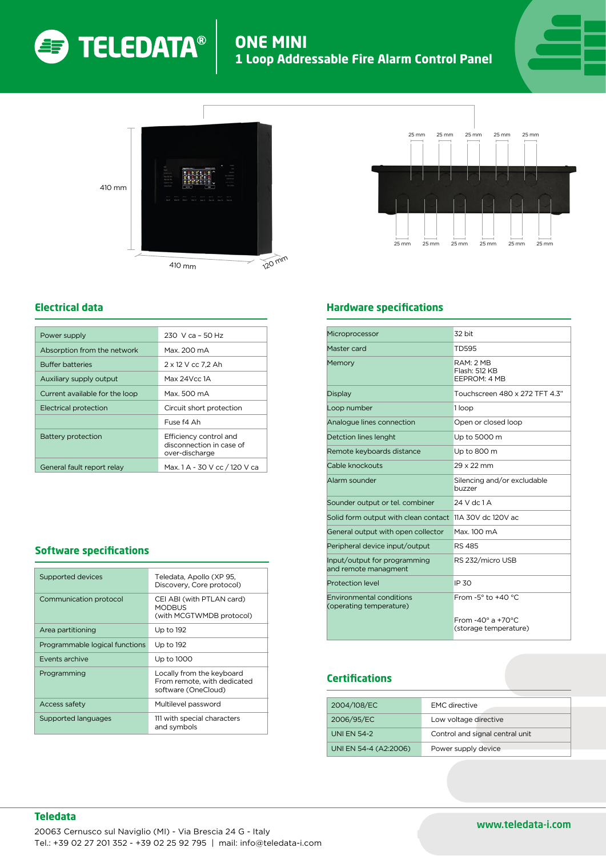

# **ONE MIN 1 Loop Addressable Fire Alarm Control Panel**





# **Electrical data**

| Power supply                   | 230 V ca - 50 Hz                                                     |
|--------------------------------|----------------------------------------------------------------------|
| Absorption from the network    | Max. 200 mA                                                          |
| <b>Buffer batteries</b>        | 2 x 12 V cc 7,2 Ah                                                   |
| Auxiliary supply output        | Max 24Vcc 1A                                                         |
| Current available for the loop | Max. 500 mA                                                          |
| Electrical protection          | Circuit short protection                                             |
|                                | Fuse f4 Ah                                                           |
| Battery protection             | Efficiency control and<br>disconnection in case of<br>over-discharge |
| General fault report relay     | Max. 1 A - 30 V cc / 120 V ca                                        |

## **Software specifications**

| Supported devices              | Teledata, Apollo (XP 95,<br>Discovery, Core protocol)                           |
|--------------------------------|---------------------------------------------------------------------------------|
| Communication protocol         | CEI ABI (with PTLAN card)<br><b>MODBUS</b><br>(with MCGTWMDB protocol)          |
| Area partitioning              | Up to 192                                                                       |
| Programmable logical functions | Up to 192                                                                       |
| Events archive                 | Up to 1000                                                                      |
| Programming                    | Locally from the keyboard<br>From remote, with dedicated<br>software (OneCloud) |
| <b>Access safety</b>           | Multilevel password                                                             |
| Supported languages            | 111 with special characters<br>and symbols                                      |



# **Hardware specifications**

| Microprocessor                                             | 32 bit                                                    |
|------------------------------------------------------------|-----------------------------------------------------------|
| Master card                                                | TD595                                                     |
| Memory                                                     | RAM: 2 MB<br>Flash: 512 KB<br>EEPROM: 4 MB                |
| Display                                                    | Touchscreen 480 x 272 TFT 4.3"                            |
| Loop number                                                | 1 loop                                                    |
| Analogue lines connection                                  | Open or closed loop                                       |
| Detction lines lenght                                      | Up to 5000 m                                              |
| Remote keyboards distance                                  | Up to 800 m                                               |
| Cable knockouts                                            | 29 x 22 mm                                                |
| Alarm sounder                                              | Silencing and/or excludable<br>buzzer                     |
| Sounder output or tel. combiner                            | $24$ V dc $1$ A                                           |
| Solid form output with clean contact 11A 30V dc 120V ac    |                                                           |
| General output with open collector                         | Max 100 mA                                                |
| Peripheral device input/output                             | <b>RS 485</b>                                             |
| Input/output for programming<br>and remote managment       | RS 232/micro USB                                          |
| <b>Protection level</b>                                    | IP 30                                                     |
| <b>Environmental conditions</b><br>(operating temperature) | From $-5^\circ$ to $+40^\circ C$                          |
|                                                            | From $-40^\circ$ a $+70^\circ$ C<br>(storage temperature) |

# **Certifications**

| 2004/108/EC           | <b>EMC</b> directive            |
|-----------------------|---------------------------------|
| 2006/95/EC            | Low voltage directive           |
| <b>UNI EN 54-2</b>    | Control and signal central unit |
| UNI EN 54-4 (A2:2006) | Power supply device             |

# **Teledata**